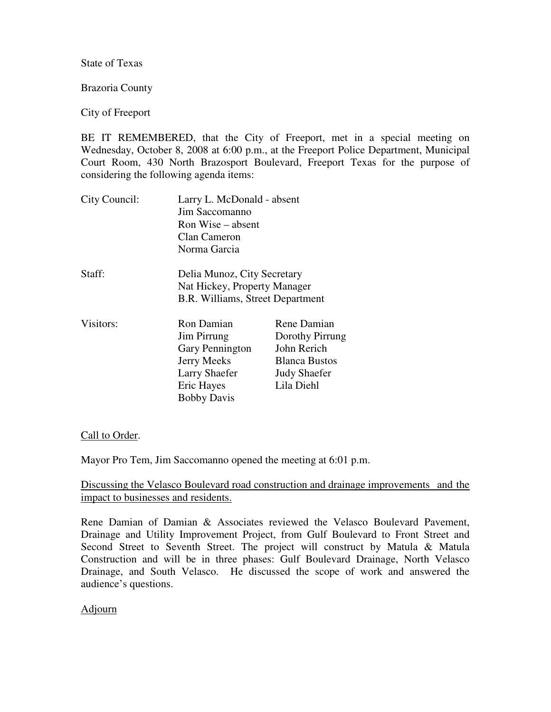State of Texas

Brazoria County

## City of Freeport

BE IT REMEMBERED, that the City of Freeport, met in a special meeting on Wednesday, October 8, 2008 at 6:00 p.m., at the Freeport Police Department, Municipal Court Room, 430 North Brazosport Boulevard, Freeport Texas for the purpose of considering the following agenda items:

| City Council: | Larry L. McDonald - absent<br>Jim Saccomanno<br>Ron Wise – absent<br>Clan Cameron<br>Norma Garcia                              |                                                                                                            |
|---------------|--------------------------------------------------------------------------------------------------------------------------------|------------------------------------------------------------------------------------------------------------|
| Staff:        | Delia Munoz, City Secretary<br>Nat Hickey, Property Manager<br>B.R. Williams, Street Department                                |                                                                                                            |
| Visitors:     | Ron Damian<br>Jim Pirrung<br>Gary Pennington<br><b>Jerry Meeks</b><br><b>Larry Shaefer</b><br>Eric Hayes<br><b>Bobby Davis</b> | Rene Damian<br>Dorothy Pirrung<br>John Rerich<br><b>Blanca Bustos</b><br><b>Judy Shaefer</b><br>Lila Diehl |

## Call to Order.

Mayor Pro Tem, Jim Saccomanno opened the meeting at 6:01 p.m.

## Discussing the Velasco Boulevard road construction and drainage improvements and the impact to businesses and residents.

Rene Damian of Damian & Associates reviewed the Velasco Boulevard Pavement, Drainage and Utility Improvement Project, from Gulf Boulevard to Front Street and Second Street to Seventh Street. The project will construct by Matula & Matula Construction and will be in three phases: Gulf Boulevard Drainage, North Velasco Drainage, and South Velasco. He discussed the scope of work and answered the audience's questions.

## Adjourn